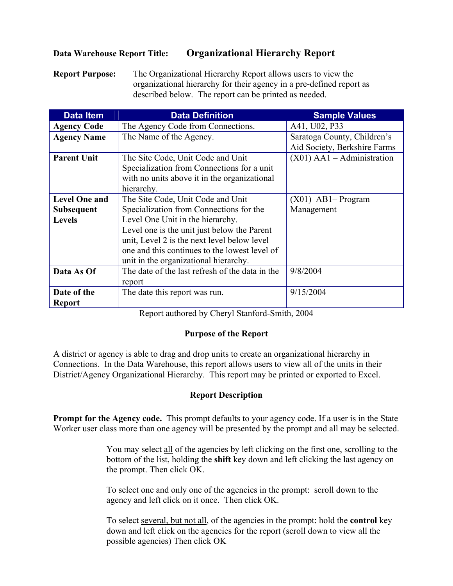## **Data Warehouse Report Title: Organizational Hierarchy Report**

**Report Purpose:** The Organizational Hierarchy Report allows users to view the organizational hierarchy for their agency in a pre-defined report as described below. The report can be printed as needed.

| <b>Data Item</b>                   | <b>Data Definition</b>                                                                                                                                                                                                                                              | <b>Sample Values</b>                                        |  |
|------------------------------------|---------------------------------------------------------------------------------------------------------------------------------------------------------------------------------------------------------------------------------------------------------------------|-------------------------------------------------------------|--|
| <b>Agency Code</b>                 | The Agency Code from Connections.                                                                                                                                                                                                                                   | A41, U02, P33                                               |  |
| <b>Agency Name</b>                 | The Name of the Agency.                                                                                                                                                                                                                                             | Saratoga County, Children's<br>Aid Society, Berkshire Farms |  |
| <b>Parent Unit</b>                 | The Site Code, Unit Code and Unit<br>Specialization from Connections for a unit<br>with no units above it in the organizational<br>hierarchy.                                                                                                                       | $(X01)$ AA1 – Administration                                |  |
| <b>Level One and</b>               | The Site Code, Unit Code and Unit                                                                                                                                                                                                                                   | $(X01)$ AB1-Program                                         |  |
| <b>Subsequent</b><br><b>Levels</b> | Specialization from Connections for the<br>Level One Unit in the hierarchy.<br>Level one is the unit just below the Parent<br>unit, Level 2 is the next level below level<br>one and this continues to the lowest level of<br>unit in the organizational hierarchy. | Management                                                  |  |
| Data As Of                         | The date of the last refresh of the data in the<br>report                                                                                                                                                                                                           | 9/8/2004                                                    |  |
| Date of the<br><b>Report</b>       | The date this report was run.                                                                                                                                                                                                                                       | 9/15/2004                                                   |  |

Report authored by Cheryl Stanford-Smith, 2004

## **Purpose of the Report**

A district or agency is able to drag and drop units to create an organizational hierarchy in Connections. In the Data Warehouse, this report allows users to view all of the units in their District/Agency Organizational Hierarchy. This report may be printed or exported to Excel.

## **Report Description**

**Prompt for the Agency code.** This prompt defaults to your agency code. If a user is in the State Worker user class more than one agency will be presented by the prompt and all may be selected.

> You may select all of the agencies by left clicking on the first one, scrolling to the bottom of the list, holding the **shift** key down and left clicking the last agency on the prompt. Then click OK.

To select one and only one of the agencies in the prompt: scroll down to the agency and left click on it once. Then click OK.

To select several, but not all, of the agencies in the prompt: hold the **control** key down and left click on the agencies for the report (scroll down to view all the possible agencies) Then click OK